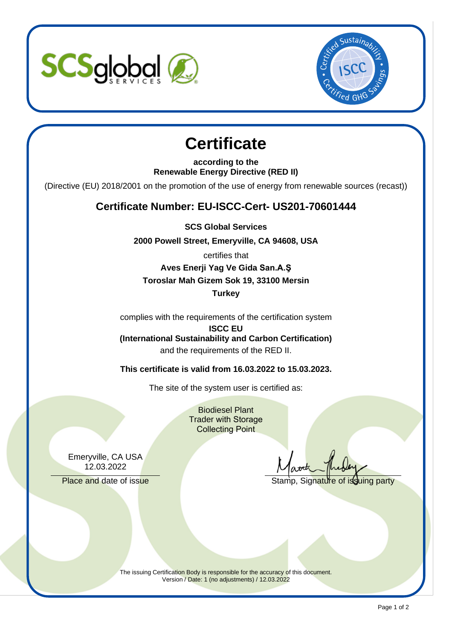



# **Certificate**

**according to the Renewable Energy Directive (RED II)** 

(Directive (EU) 2018/2001 on the promotion of the use of energy from renewable sources (recast))

### **Certificate Number: EU-ISCC-Cert- US201-70601444**

**SCS Global Services** 

**2000 Powell Street, Emeryville, CA 94608, USA** 

certifies that

**Aves Enerji Yag Ve Gida San.A.Ş Toroslar Mah Gizem Sok 19, 33100 Mersin Turkey** 

complies with the requirements of the certification system

**ISCC EU (International Sustainability and Carbon Certification)**  and the requirements of the RED II.

**This certificate is valid from 16.03.2022 to 15.03.2023.** 

The site of the system user is certified as:

Biodiesel Plant Trader with Storage Collecting Point

Emeryville, CA USA 12.03.2022

Place and date of issue The Stamp, Signature of issuing party

The issuing Certification Body is responsible for the accuracy of this document. Version / Date: 1 (no adjustments) / 12.03.2022